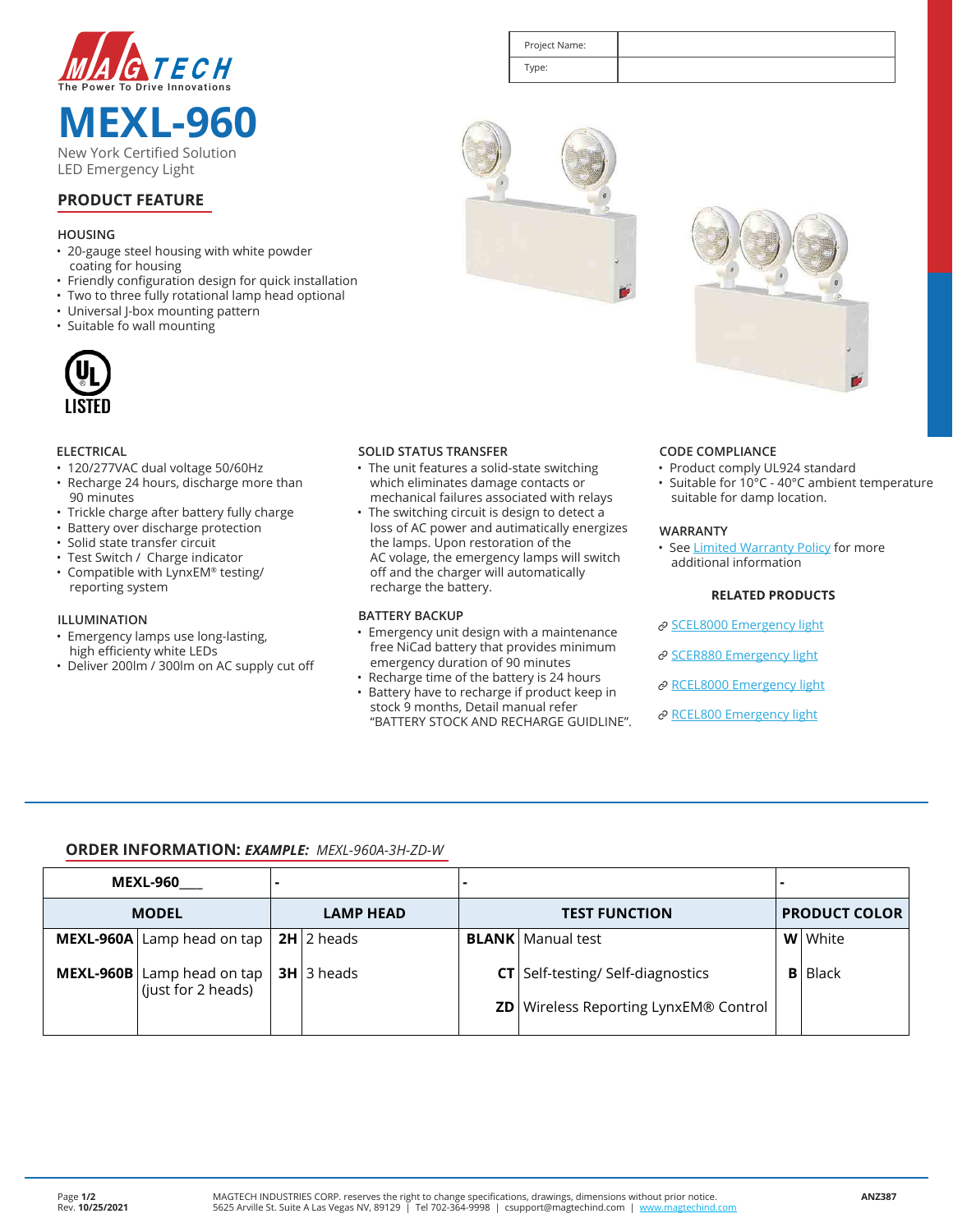

**MEXL-960** New York Certified Solution LED Emergency Light

| Project Name: |  |
|---------------|--|
| Type:         |  |

# **PRODUCT FEATURE**

### **HOUSING**

- 20-gauge steel housing with white powder coating for housing
- Friendly configuration design for quick installation
- Two to three fully rotational lamp head optional<br>• Universal J-box mounting pattern
- Universal J-box mounting pattern
- Suitable fo wall mounting



#### **ELECTRICAL**

- 120/277VAC dual voltage 50/60Hz
- Recharge 24 hours, discharge more than 90 minutes
- Trickle charge after battery fully charge
- Battery over discharge protection
- Solid state transfer circuit
- Test Switch / Charge indicator
- Compatible with LynxEM® testing/ reporting system

#### **ILLUMINATION**

- Emergency lamps use long-lasting, high efficienty white LEDs
- Deliver 200lm / 300lm on AC supply cut off

### **SOLID STATUS TRANSFER**

• The unit features a solid-state switching which eliminates damage contacts or mechanical failures associated with relays

The switching circuit is design to detect a loss of AC power and autimatically energizes the lamps. Upon restoration of the AC volage, the emergency lamps will switch off and the charger will automatically recharge the battery.

## **BATTERY BACKUP**

- Emergency unit design with a maintenance free NiCad battery that provides minimum emergency duration of 90 minutes
- Recharge time of the battery is 24 hours • Battery have to recharge if product keep in stock 9 months, Detail manual refer "BATTERY STOCK AND RECHARGE GUIDLINE".



#### **CODE COMPLIANCE**

- Product comply UL924 standard
- Suitable for 10°C 40°C ambient temperature suitable for damp location.

#### **WARRANTY**

• See Limited Warranty Policy for more additional information

#### **RELATED PRODUCTS**

- $\mathscr{O}% (\varepsilon)$  SCEL8000 Emergency light
- $\mathscr{O}% (\varepsilon)$  SCER880 Emergency-light
- $\mathscr{O}% (\varepsilon)$  RCEL8000 Emergency light
- $\mathscr{O}% (\varepsilon)$  RCEL800 Emergency light

## **ORDER INFORMATION:** *EXAMPLE: MEXL-960A-3H-ZD-W*

|              | <b>MEXL-960</b>                                                 |                  |                           |                      |                                              |                      |                  |
|--------------|-----------------------------------------------------------------|------------------|---------------------------|----------------------|----------------------------------------------|----------------------|------------------|
| <b>MODEL</b> |                                                                 | <b>LAMP HEAD</b> |                           | <b>TEST FUNCTION</b> |                                              | <b>PRODUCT COLOR</b> |                  |
|              | MEXL-960A Lamp head on tap                                      |                  | <b>2H</b> $\vert$ 2 heads |                      | <b>BLANK</b>   Manual test                   |                      | <b>W</b>   White |
|              | <b>MEXL-960B</b> Lamp head on tap<br>$\vert$ (just for 2 heads) |                  | $3H$   3 heads            |                      | <b>CT</b> Self-testing/Self-diagnostics      | B I                  | l Black          |
|              |                                                                 |                  |                           |                      | <b>ZD</b> Wireless Reporting LynxEM® Control |                      |                  |